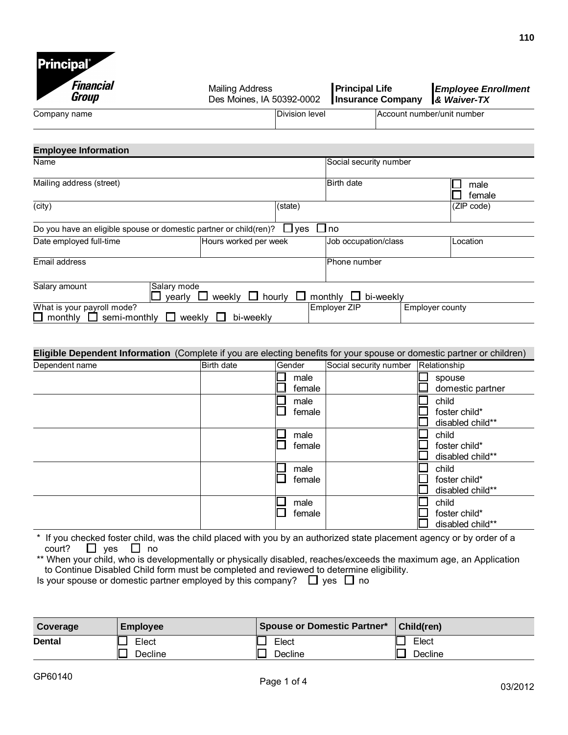

| Financial<br>Group                                                                                                     | <b>Mailing Address</b><br>Des Moines, IA 50392-0002 | <b>Principal Life</b> | <b>Insurance Company</b> | <b>Employee Enrollment</b><br>& Waiver-TX |
|------------------------------------------------------------------------------------------------------------------------|-----------------------------------------------------|-----------------------|--------------------------|-------------------------------------------|
| Company name                                                                                                           | Division level                                      |                       |                          | Account number/unit number                |
| <b>Employee Information</b>                                                                                            |                                                     |                       |                          |                                           |
| Name                                                                                                                   |                                                     |                       | Social security number   |                                           |
| Mailing address (street)                                                                                               |                                                     | Birth date            |                          | male<br>female                            |
| $\overline{(city)}$                                                                                                    | (state)                                             |                       |                          | (ZIP code)                                |
| Do you have an eligible spouse or domestic partner or child(ren)?                                                      | $\Box$ yes                                          | $\Box$ no             |                          |                                           |
| Date employed full-time                                                                                                | Hours worked per week                               |                       | Job occupation/class     | Location                                  |
| Email address                                                                                                          |                                                     | Phone number          |                          |                                           |
| Salary mode<br>Salary amount<br>yearly $\Box$                                                                          | weekly $\Box$ hourly $\Box$                         | monthly $\Box$        | bi-weekly                |                                           |
| What is your payroll mode?<br>$\square$ monthly<br>semi-monthly                                                        | $\Box$ weekly<br>bi-weekly                          | Employer ZIP          |                          | <b>Employer county</b>                    |
|                                                                                                                        |                                                     |                       |                          |                                           |
| Eligible Dependent Information (Complete if you are electing benefits for your spouse or domestic partner or children) |                                                     |                       |                          |                                           |

| Dependent name | Birth date | Gender         | Social security number | Relationship                               |
|----------------|------------|----------------|------------------------|--------------------------------------------|
|                |            | male<br>female |                        | spouse<br>domestic partner                 |
|                |            | male<br>female |                        | child<br>foster child*<br>disabled child** |
|                |            | male<br>female |                        | child<br>foster child*<br>disabled child** |
|                |            | male<br>female |                        | child<br>foster child*<br>disabled child** |
|                |            | male<br>female |                        | child<br>foster child*<br>disabled child** |

\*\* When your child, who is developmentally or physically disabled, reaches/exceeds the maximum age, an Application to Continue Disabled Child form must be completed and reviewed to determine eligibility.

Is your spouse or domestic partner employed by this company?  $\Box$  yes  $\Box$  no

| Coverage      | <b>Employee</b> | Spouse or Domestic Partner* | Child(ren) |
|---------------|-----------------|-----------------------------|------------|
| <b>Dental</b> | Elect           | Elect                       | Elect      |
|               | Decline         | Decline                     | Decline    |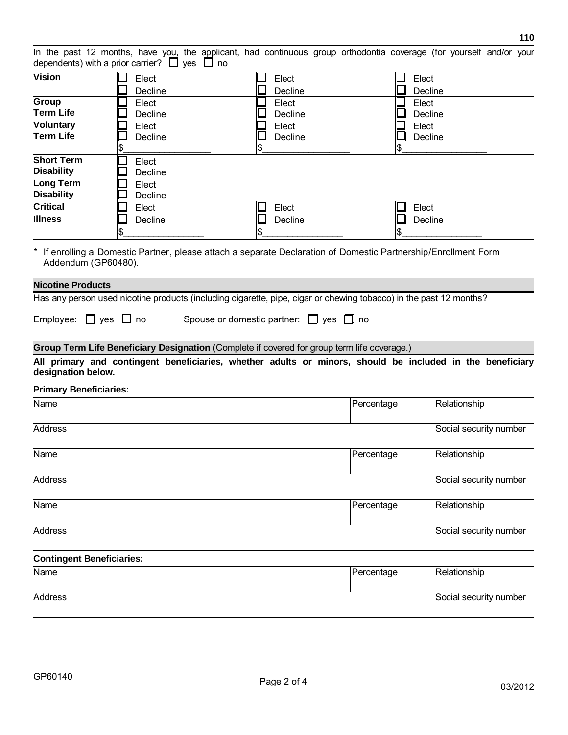|                                                                                                                                                                                                                                             | dependents) with a prior carrier? $\Box$ yes $\Box$ no | In the past 12 months, have you, the applicant, had continuous group orthodontia coverage (for yourself and/or your |            |                        |
|---------------------------------------------------------------------------------------------------------------------------------------------------------------------------------------------------------------------------------------------|--------------------------------------------------------|---------------------------------------------------------------------------------------------------------------------|------------|------------------------|
| <b>Vision</b>                                                                                                                                                                                                                               | Elect<br>Decline                                       | Elect<br>Decline                                                                                                    |            | Elect<br>Decline       |
| Group<br><b>Term Life</b>                                                                                                                                                                                                                   | Elect<br>Decline                                       | Elect<br>Decline                                                                                                    |            | Elect<br>Decline       |
| <b>Voluntary</b><br><b>Term Life</b>                                                                                                                                                                                                        | Elect<br>Decline<br>\$                                 | Elect<br>Decline<br>\$                                                                                              | \$         | Elect<br>Decline       |
| <b>Short Term</b><br><b>Disability</b>                                                                                                                                                                                                      | Elect<br>Decline                                       |                                                                                                                     |            |                        |
| <b>Long Term</b><br><b>Disability</b>                                                                                                                                                                                                       | Elect<br>Decline                                       |                                                                                                                     |            |                        |
| <b>Critical</b><br><b>Illness</b>                                                                                                                                                                                                           | Elect<br>Decline<br>\$                                 | Elect<br>Decline<br>\$                                                                                              |            | Elect<br>Decline       |
| Addendum (GP60480).                                                                                                                                                                                                                         |                                                        | If enrolling a Domestic Partner, please attach a separate Declaration of Domestic Partnership/Enrollment Form       |            |                        |
|                                                                                                                                                                                                                                             |                                                        |                                                                                                                     |            |                        |
|                                                                                                                                                                                                                                             |                                                        |                                                                                                                     |            |                        |
|                                                                                                                                                                                                                                             |                                                        | Has any person used nicotine products (including cigarette, pipe, cigar or chewing tobacco) in the past 12 months?  |            |                        |
|                                                                                                                                                                                                                                             |                                                        | Spouse or domestic partner: $\Box$ yes $\Box$ no                                                                    |            |                        |
|                                                                                                                                                                                                                                             |                                                        | Group Term Life Beneficiary Designation (Complete if covered for group term life coverage.)                         |            |                        |
|                                                                                                                                                                                                                                             |                                                        | All primary and contingent beneficiaries, whether adults or minors, should be included in the beneficiary           |            |                        |
|                                                                                                                                                                                                                                             |                                                        |                                                                                                                     |            |                        |
|                                                                                                                                                                                                                                             |                                                        |                                                                                                                     | Percentage | Relationship           |
|                                                                                                                                                                                                                                             |                                                        |                                                                                                                     |            | Social security number |
|                                                                                                                                                                                                                                             |                                                        |                                                                                                                     | Percentage | Relationship           |
|                                                                                                                                                                                                                                             |                                                        |                                                                                                                     |            | Social security number |
|                                                                                                                                                                                                                                             |                                                        |                                                                                                                     | Percentage | Relationship           |
|                                                                                                                                                                                                                                             |                                                        |                                                                                                                     |            | Social security number |
|                                                                                                                                                                                                                                             |                                                        |                                                                                                                     |            |                        |
| <b>Nicotine Products</b><br>Employee: $\Box$ yes $\Box$ no<br>designation below.<br><b>Primary Beneficiaries:</b><br>Name<br><b>Address</b><br>Name<br><b>Address</b><br>Name<br><b>Address</b><br><b>Contingent Beneficiaries:</b><br>Name |                                                        |                                                                                                                     | Percentage | Relationship           |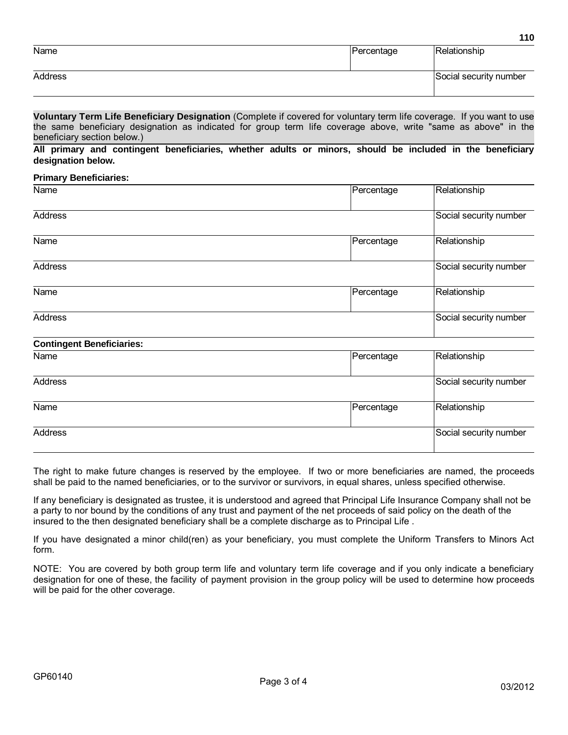|         |            | 110                    |
|---------|------------|------------------------|
| Name    | Percentage | Relationship           |
| Address |            | Social security number |

**Voluntary Term Life Beneficiary Designation** (Complete if covered for voluntary term life coverage. If you want to use **Voluntary Term Life Beneficiary Designation** (Complete if covered for voluntary term life coverage. If you want to use<br>the same beneficiary designation as indicated for group term life coverage above, write "same as above Voluntary Term Life Benefithe same beneficiary designeeristic<br>beneficiary section below.)<br>All primary and continuer the same beneficiary designation as indicated for group term life coverage above, write "same as above" in the<br>beneficiary section below.)<br>All primary and contingent beneficiaries, whether adults or minors, should be inclu

beneficiary section be<br><mark>All primary and co</mark><br>designation below. All primary and contingent beneficiaries, whether adults or minors, should be included in the beneficiary<br>designation below.<br>Primary Beneficiaries:

| <b>Primary Beneficiaries:</b>    |                                            |                        |
|----------------------------------|--------------------------------------------|------------------------|
| Name                             | Percentage                                 | Relationship           |
| <b>Address</b>                   |                                            | Social security number |
| Name                             | Percentage                                 | Relationship           |
| <b>Address</b>                   |                                            | Social security number |
| Name                             | Percentage                                 | Relationship           |
| <b>Address</b>                   |                                            | Social security number |
| <b>Contingent Beneficiaries:</b> |                                            |                        |
| $\blacksquare$                   | $\overline{a}$ . The set of $\overline{a}$ | <b>PULLER</b>          |

| <b>Contingent Beneficiaries:</b> |  |  |
|----------------------------------|--|--|
| Name                             |  |  |

| <b>Contingent Beneficiaries:</b> |            |                        |
|----------------------------------|------------|------------------------|
| Name                             | Percentage | Relationship           |
| Address                          |            | Social security number |
| Name                             | Percentage | Relationship           |
| Address                          |            | Social security number |

The right to make future changes is reserved by the employee. If two or more beneficiaries are named, the proceeds shall be paid to the named beneficiaries, or to the survivor or survivors, in equal shares, unless specified otherwise.

If any beneficiary is designated as trustee, it is understood and agreed that Principal Life Insurance Company shall not be a party to nor bound by the conditions of any trust and payment of the net proceeds of said policy on the death of the insured to the then designated beneficiary shall be a complete discharge as to Principal Life .

If you have designated a minor child(ren) as your beneficiary, you must complete the Uniform Transfers to Minors Act form.

NOTE: You are covered by both group term life and voluntary term life coverage and if you only indicate a beneficiary designation for one of these, the facility of payment provision in the group policy will be used to determine how proceeds will be paid for the other coverage.